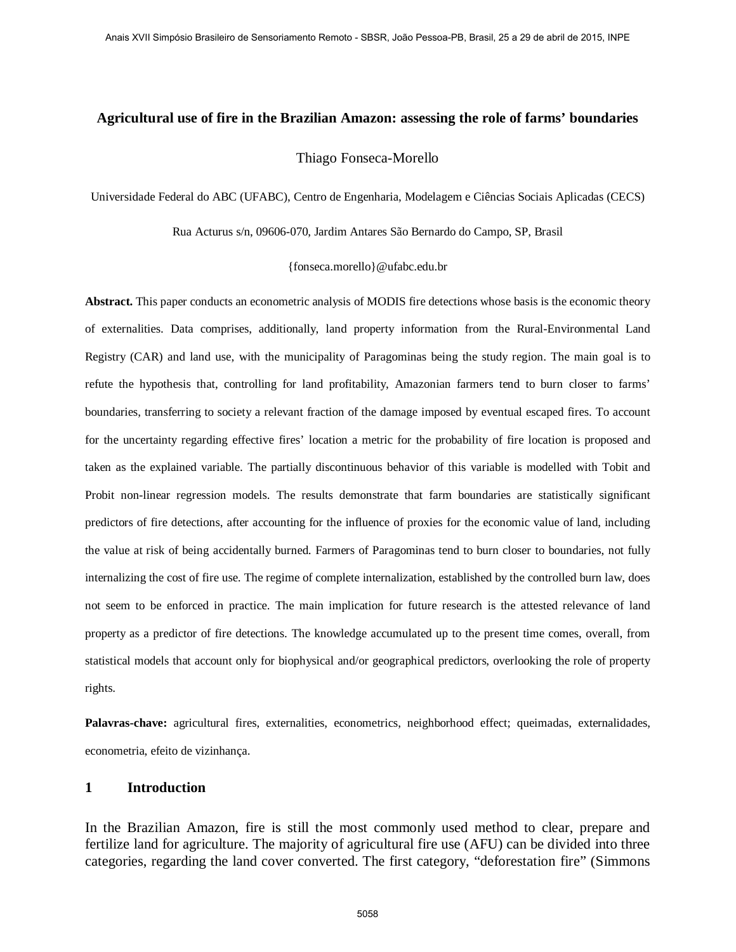# **Agricultural use of fire in the Brazilian Amazon: assessing the role of farms' boundaries**

#### Thiago Fonseca-Morello

Universidade Federal do ABC (UFABC), Centro de Engenharia, Modelagem e Ciências Sociais Aplicadas (CECS)

Rua Acturus s/n, 09606-070, Jardim Antares São Bernardo do Campo, SP, Brasil

{fonseca.morello}@ufabc.edu.br

**Abstract.** This paper conducts an econometric analysis of MODIS fire detections whose basis is the economic theory of externalities. Data comprises, additionally, land property information from the Rural-Environmental Land Registry (CAR) and land use, with the municipality of Paragominas being the study region. The main goal is to refute the hypothesis that, controlling for land profitability, Amazonian farmers tend to burn closer to farms' boundaries, transferring to society a relevant fraction of the damage imposed by eventual escaped fires. To account for the uncertainty regarding effective fires' location a metric for the probability of fire location is proposed and taken as the explained variable. The partially discontinuous behavior of this variable is modelled with Tobit and Probit non-linear regression models. The results demonstrate that farm boundaries are statistically significant predictors of fire detections, after accounting for the influence of proxies for the economic value of land, including the value at risk of being accidentally burned. Farmers of Paragominas tend to burn closer to boundaries, not fully internalizing the cost of fire use. The regime of complete internalization, established by the controlled burn law, does not seem to be enforced in practice. The main implication for future research is the attested relevance of land property as a predictor of fire detections. The knowledge accumulated up to the present time comes, overall, from statistical models that account only for biophysical and/or geographical predictors, overlooking the role of property rights.

**Palavras-chave:** agricultural fires, externalities, econometrics, neighborhood effect; queimadas, externalidades, econometria, efeito de vizinhança.

#### **1 Introduction**

In the Brazilian Amazon, fire is still the most commonly used method to clear, prepare and fertilize land for agriculture. The majority of agricultural fire use (AFU) can be divided into three categories, regarding the land cover converted. The first category, "deforestation fire" (Simmons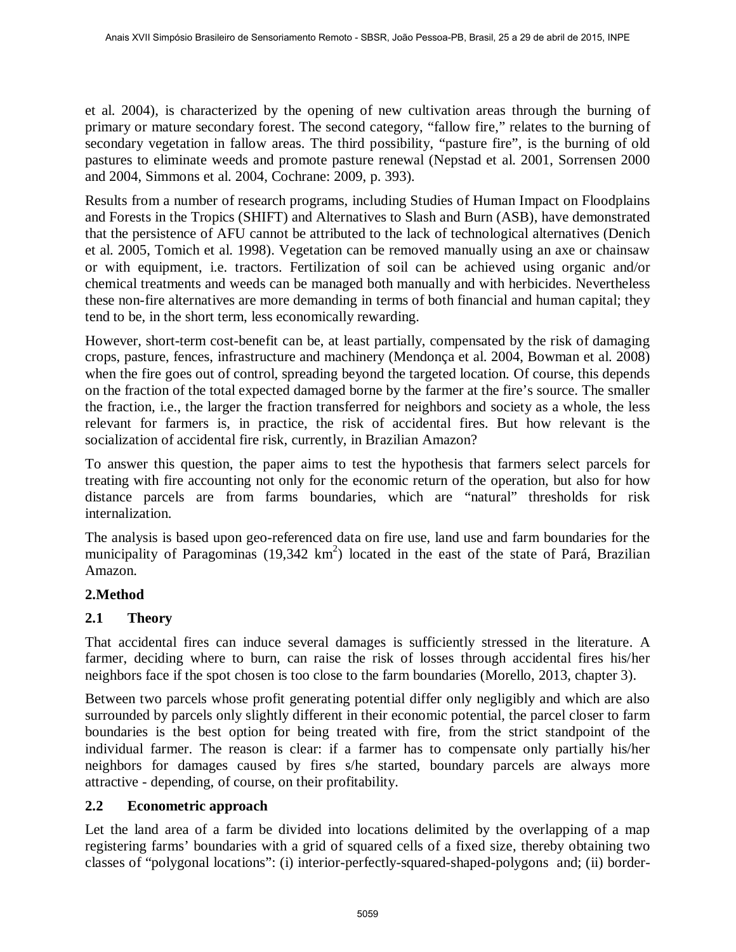et al. 2004), is characterized by the opening of new cultivation areas through the burning of primary or mature secondary forest. The second category, "fallow fire," relates to the burning of secondary vegetation in fallow areas. The third possibility, "pasture fire", is the burning of old pastures to eliminate weeds and promote pasture renewal (Nepstad et al. 2001, Sorrensen 2000 and 2004, Simmons et al. 2004, Cochrane: 2009, p. 393).

Results from a number of research programs, including Studies of Human Impact on Floodplains and Forests in the Tropics (SHIFT) and Alternatives to Slash and Burn (ASB), have demonstrated that the persistence of AFU cannot be attributed to the lack of technological alternatives (Denich et al. 2005, Tomich et al. 1998). Vegetation can be removed manually using an axe or chainsaw or with equipment, i.e. tractors. Fertilization of soil can be achieved using organic and/or chemical treatments and weeds can be managed both manually and with herbicides. Nevertheless these non-fire alternatives are more demanding in terms of both financial and human capital; they tend to be, in the short term, less economically rewarding.

However, short-term cost-benefit can be, at least partially, compensated by the risk of damaging crops, pasture, fences, infrastructure and machinery (Mendonça et al. 2004, Bowman et al. 2008) when the fire goes out of control, spreading beyond the targeted location. Of course, this depends on the fraction of the total expected damaged borne by the farmer at the fire's source. The smaller the fraction, i.e., the larger the fraction transferred for neighbors and society as a whole, the less relevant for farmers is, in practice, the risk of accidental fires. But how relevant is the socialization of accidental fire risk, currently, in Brazilian Amazon?

To answer this question, the paper aims to test the hypothesis that farmers select parcels for treating with fire accounting not only for the economic return of the operation, but also for how distance parcels are from farms boundaries, which are "natural" thresholds for risk internalization.

The analysis is based upon geo-referenced data on fire use, land use and farm boundaries for the municipality of Paragominas (19,342  $km^2$ ) located in the east of the state of Pará, Brazilian Amazon.

### **2.Method**

## **2.1 Theory**

That accidental fires can induce several damages is sufficiently stressed in the literature. A farmer, deciding where to burn, can raise the risk of losses through accidental fires his/her neighbors face if the spot chosen is too close to the farm boundaries (Morello, 2013, chapter 3).

Between two parcels whose profit generating potential differ only negligibly and which are also surrounded by parcels only slightly different in their economic potential, the parcel closer to farm boundaries is the best option for being treated with fire, from the strict standpoint of the individual farmer. The reason is clear: if a farmer has to compensate only partially his/her neighbors for damages caused by fires s/he started, boundary parcels are always more attractive - depending, of course, on their profitability.

### **2.2 Econometric approach**

Let the land area of a farm be divided into locations delimited by the overlapping of a map registering farms' boundaries with a grid of squared cells of a fixed size, thereby obtaining two classes of "polygonal locations": (i) interior-perfectly-squared-shaped-polygons and; (ii) border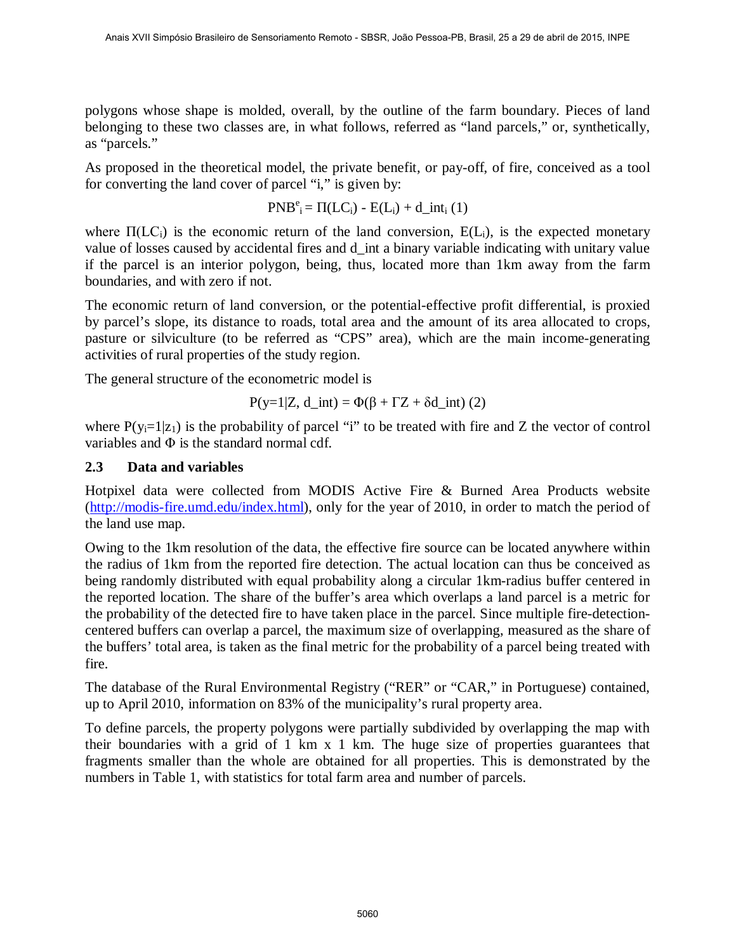polygons whose shape is molded, overall, by the outline of the farm boundary. Pieces of land belonging to these two classes are, in what follows, referred as "land parcels," or, synthetically, as "parcels."

As proposed in the theoretical model, the private benefit, or pay-off, of fire, conceived as a tool for converting the land cover of parcel "i," is given by:

$$
PNB^e_i = \Pi (LC_i) - E(L_i) + d\_int_i (1)
$$

where  $\Pi(LC_i)$  is the economic return of the land conversion,  $E(L_i)$ , is the expected monetary value of losses caused by accidental fires and d\_int a binary variable indicating with unitary value if the parcel is an interior polygon, being, thus, located more than 1km away from the farm boundaries, and with zero if not.

The economic return of land conversion, or the potential-effective profit differential, is proxied by parcel's slope, its distance to roads, total area and the amount of its area allocated to crops, pasture or silviculture (to be referred as "CPS" area), which are the main income-generating activities of rural properties of the study region.

The general structure of the econometric model is

$$
P(y=1|Z, d\_int) = \Phi(\beta + \Gamma Z + \delta d\_int) (2)
$$

where  $P(y_i=1|z_1)$  is the probability of parcel "i" to be treated with fire and Z the vector of control variables and  $\Phi$  is the standard normal cdf.

### **2.3 Data and variables**

Hotpixel data were collected from MODIS Active Fire & Burned Area Products website (http://modis-fire.umd.edu/index.html), only for the year of 2010, in order to match the period of the land use map.

Owing to the 1km resolution of the data, the effective fire source can be located anywhere within the radius of 1km from the reported fire detection. The actual location can thus be conceived as being randomly distributed with equal probability along a circular 1km-radius buffer centered in the reported location. The share of the buffer's area which overlaps a land parcel is a metric for the probability of the detected fire to have taken place in the parcel. Since multiple fire-detectioncentered buffers can overlap a parcel, the maximum size of overlapping, measured as the share of the buffers' total area, is taken as the final metric for the probability of a parcel being treated with fire.

The database of the Rural Environmental Registry ("RER" or "CAR," in Portuguese) contained, up to April 2010, information on 83% of the municipality's rural property area.

To define parcels, the property polygons were partially subdivided by overlapping the map with their boundaries with a grid of 1 km x 1 km. The huge size of properties guarantees that fragments smaller than the whole are obtained for all properties. This is demonstrated by the numbers in Table 1, with statistics for total farm area and number of parcels.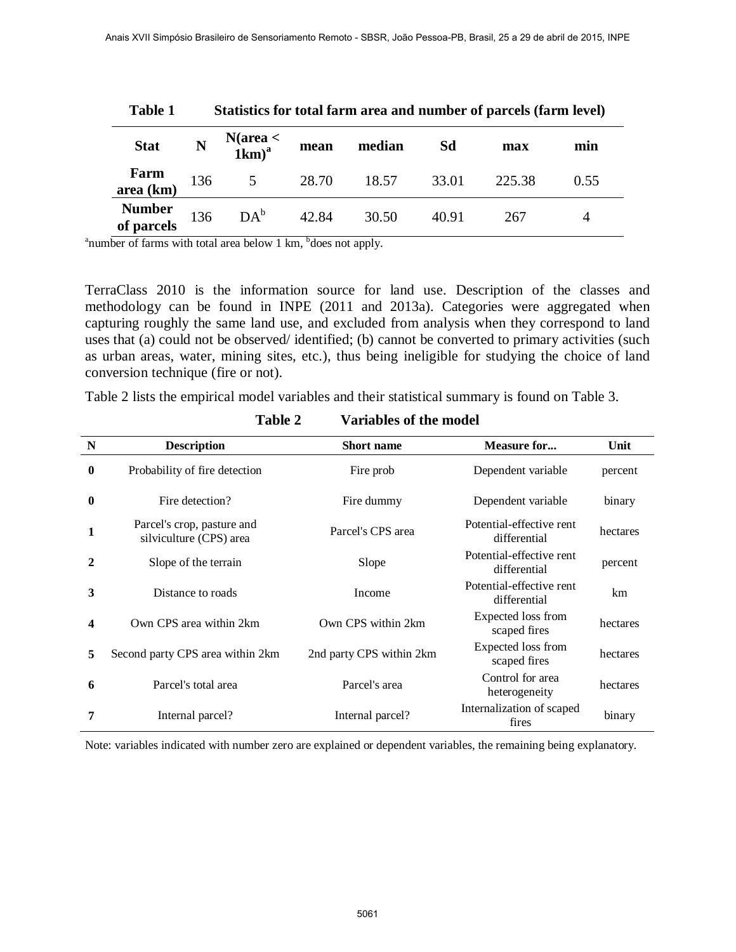| <b>Table 1</b>              | Statistics for total farm area and number of parcels (farm level) |                   |       |        |       |        |      |
|-----------------------------|-------------------------------------------------------------------|-------------------|-------|--------|-------|--------|------|
| <b>Stat</b>                 | N                                                                 | $N(area < 1km)^a$ | mean  | median | Sd    | max    | min  |
| Farm<br>area (km)           | 136                                                               | 5                 | 28.70 | 18.57  | 33.01 | 225.38 | 0.55 |
| <b>Number</b><br>of parcels | 136                                                               | $DA^b$            | 42.84 | 30.50  | 40.91 | 267    |      |

<sup>a</sup>number of farms with total area below 1 km, <sup>b</sup>does not apply.

TerraClass 2010 is the information source for land use. Description of the classes and methodology can be found in INPE (2011 and 2013a). Categories were aggregated when capturing roughly the same land use, and excluded from analysis when they correspond to land uses that (a) could not be observed/ identified; (b) cannot be converted to primary activities (such as urban areas, water, mining sites, etc.), thus being ineligible for studying the choice of land conversion technique (fire or not).

Table 2 lists the empirical model variables and their statistical summary is found on Table 3.

| N            | <b>Description</b>                                    | <b>Short name</b>        | <b>Measure for</b>                       | Unit     |
|--------------|-------------------------------------------------------|--------------------------|------------------------------------------|----------|
| $\bf{0}$     | Probability of fire detection                         | Fire prob                | Dependent variable                       | percent  |
| $\mathbf{0}$ | Fire detection?                                       | Fire dummy               | Dependent variable                       | binary   |
| 1            | Parcel's crop, pasture and<br>silviculture (CPS) area | Parcel's CPS area        | Potential-effective rent<br>differential | hectares |
| 2            | Slope of the terrain                                  | Slope                    | Potential-effective rent<br>differential | percent  |
| 3            | Distance to roads                                     | Income                   | Potential-effective rent<br>differential | km       |
| 4            | Own CPS area within 2km                               | Own CPS within 2km       | Expected loss from<br>scaped fires       | hectares |
| 5            | Second party CPS area within 2km                      | 2nd party CPS within 2km | Expected loss from<br>scaped fires       | hectares |
| 6            | Parcel's total area                                   | Parcel's area            | Control for area<br>heterogeneity        | hectares |
|              | Internal parcel?                                      | Internal parcel?         | Internalization of scaped<br>fires       | binary   |

### **Table 2 Variables of the model**

Note: variables indicated with number zero are explained or dependent variables, the remaining being explanatory.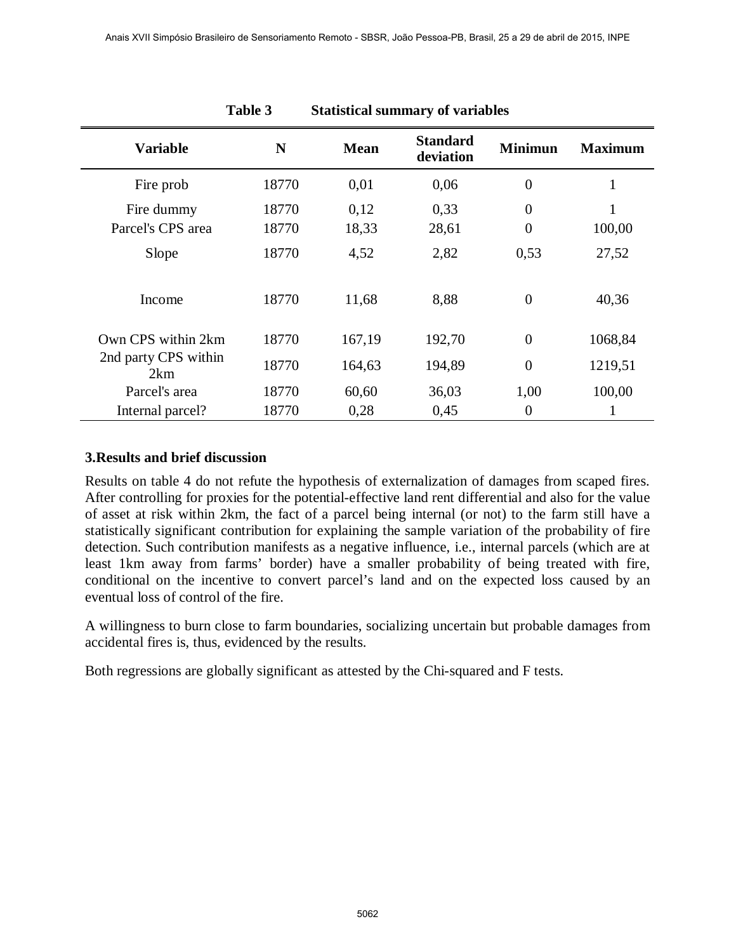|                             | Table 3 |             | <b>Statistical summary of variables</b> |                  |                |
|-----------------------------|---------|-------------|-----------------------------------------|------------------|----------------|
| <b>Variable</b>             | N       | <b>Mean</b> | <b>Standard</b><br>deviation            | <b>Minimun</b>   | <b>Maximum</b> |
| Fire prob                   | 18770   | 0,01        | 0,06                                    | $\overline{0}$   |                |
| Fire dummy                  | 18770   | 0,12        | 0,33                                    | $\theta$         |                |
| Parcel's CPS area           | 18770   | 18,33       | 28,61                                   | $\boldsymbol{0}$ | 100,00         |
| Slope                       | 18770   | 4,52        | 2,82                                    | 0,53             | 27,52          |
| Income                      | 18770   | 11,68       | 8,88                                    | $\overline{0}$   | 40,36          |
| Own CPS within 2km          | 18770   | 167,19      | 192,70                                  | $\overline{0}$   | 1068,84        |
| 2nd party CPS within<br>2km | 18770   | 164,63      | 194,89                                  | $\overline{0}$   | 1219,51        |
| Parcel's area               | 18770   | 60,60       | 36,03                                   | 1,00             | 100,00         |
| Internal parcel?            | 18770   | 0,28        | 0,45                                    | $\overline{0}$   |                |

#### **3.Results and brief discussion**

Results on table 4 do not refute the hypothesis of externalization of damages from scaped fires. After controlling for proxies for the potential-effective land rent differential and also for the value of asset at risk within 2km, the fact of a parcel being internal (or not) to the farm still have a statistically significant contribution for explaining the sample variation of the probability of fire detection. Such contribution manifests as a negative influence, i.e., internal parcels (which are at least 1km away from farms' border) have a smaller probability of being treated with fire, conditional on the incentive to convert parcel's land and on the expected loss caused by an eventual loss of control of the fire.

A willingness to burn close to farm boundaries, socializing uncertain but probable damages from accidental fires is, thus, evidenced by the results.

Both regressions are globally significant as attested by the Chi-squared and F tests.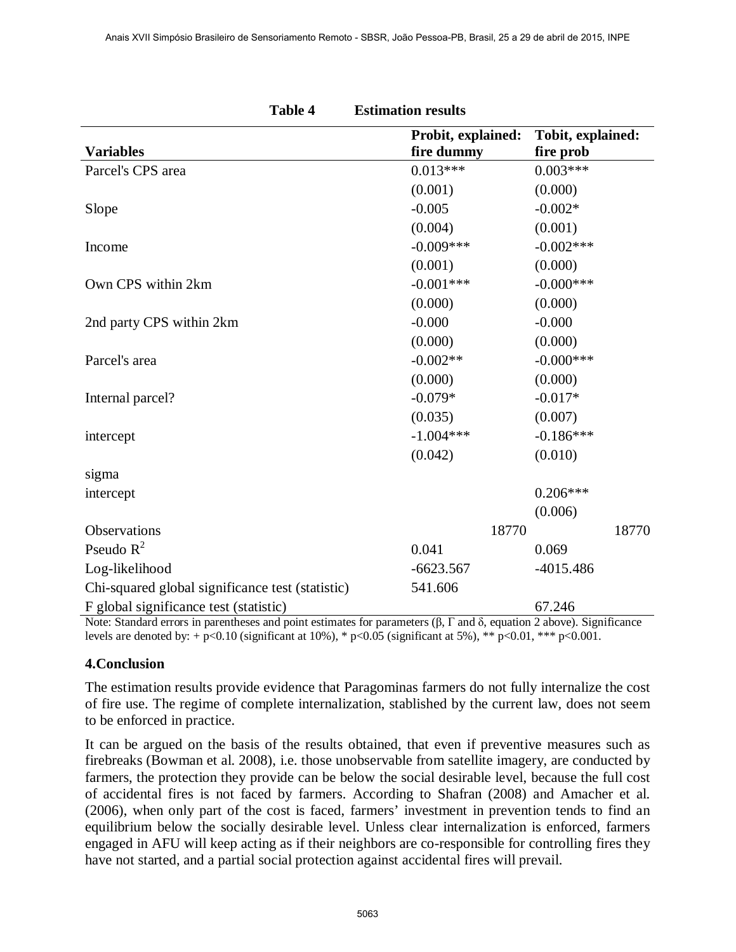|                                                  | <b>Table 4</b> | <b>Estimation results</b>        |                                |
|--------------------------------------------------|----------------|----------------------------------|--------------------------------|
| <b>Variables</b>                                 |                | Probit, explained:<br>fire dummy | Tobit, explained:<br>fire prob |
| Parcel's CPS area                                |                | $0.013***$                       | $0.003***$                     |
|                                                  |                | (0.001)                          | (0.000)                        |
| Slope                                            |                | $-0.005$                         | $-0.002*$                      |
|                                                  |                | (0.004)                          | (0.001)                        |
| Income                                           |                | $-0.009***$                      | $-0.002***$                    |
|                                                  |                | (0.001)                          | (0.000)                        |
| Own CPS within 2km                               |                | $-0.001***$                      | $-0.000$ ***                   |
|                                                  |                | (0.000)                          | (0.000)                        |
| 2nd party CPS within 2km                         |                | $-0.000$                         | $-0.000$                       |
|                                                  |                | (0.000)                          | (0.000)                        |
| Parcel's area                                    |                | $-0.002**$                       | $-0.000$ ***                   |
|                                                  |                | (0.000)                          | (0.000)                        |
| Internal parcel?                                 |                | $-0.079*$                        | $-0.017*$                      |
|                                                  |                | (0.035)                          | (0.007)                        |
| intercept                                        |                | $-1.004***$                      | $-0.186***$                    |
|                                                  |                | (0.042)                          | (0.010)                        |
| sigma                                            |                |                                  |                                |
| intercept                                        |                |                                  | $0.206***$                     |
|                                                  |                |                                  | (0.006)                        |
| Observations                                     |                | 18770                            | 18770                          |
| Pseudo $R^2$                                     |                | 0.041                            | 0.069                          |
| Log-likelihood                                   |                | $-6623.567$                      | $-4015.486$                    |
| Chi-squared global significance test (statistic) |                | 541.606                          |                                |
| F global significance test (statistic)           |                |                                  | 67.246                         |

Note: Standard errors in parentheses and point estimates for parameters (β, Γ and δ, equation 2 above). Significance levels are denoted by: + p<0.10 (significant at 10%), \* p<0.05 (significant at 5%), \*\* p<0.01, \*\*\* p<0.001.

#### **4.Conclusion**

The estimation results provide evidence that Paragominas farmers do not fully internalize the cost of fire use. The regime of complete internalization, stablished by the current law, does not seem to be enforced in practice.

It can be argued on the basis of the results obtained, that even if preventive measures such as firebreaks (Bowman et al. 2008), i.e. those unobservable from satellite imagery, are conducted by farmers, the protection they provide can be below the social desirable level, because the full cost of accidental fires is not faced by farmers. According to Shafran (2008) and Amacher et al. (2006), when only part of the cost is faced, farmers' investment in prevention tends to find an equilibrium below the socially desirable level. Unless clear internalization is enforced, farmers engaged in AFU will keep acting as if their neighbors are co-responsible for controlling fires they have not started, and a partial social protection against accidental fires will prevail.